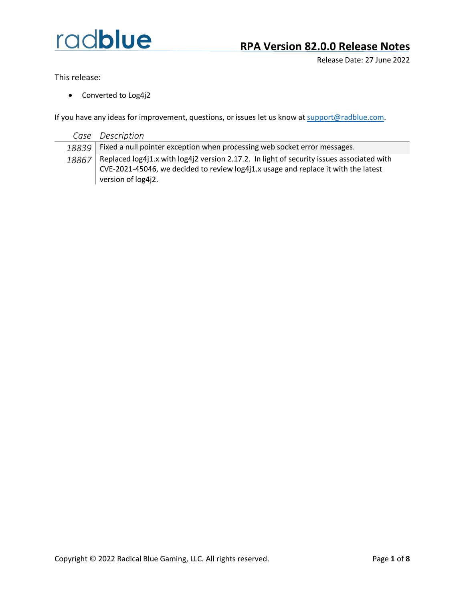Release Date: 27 June 2022

This release:

• Converted to Log4j2

| Case  | Description                                                                               |
|-------|-------------------------------------------------------------------------------------------|
| 18839 | Fixed a null pointer exception when processing web socket error messages.                 |
| 18867 | Replaced log4j1.x with log4j2 version 2.17.2. In light of security issues associated with |
|       | CVE-2021-45046, we decided to review log4j1.x usage and replace it with the latest        |
|       | version of log4j2.                                                                        |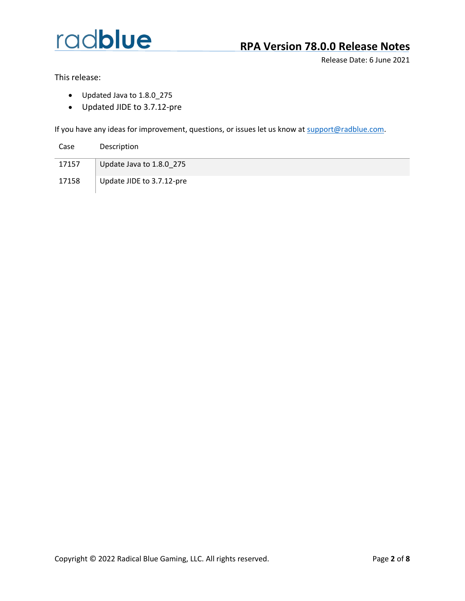

#### **RPA Version 78.0.0 Release Notes**

Release Date: 6 June 2021

This release:

- Updated Java to 1.8.0\_275
- Updated JIDE to 3.7.12-pre

| Case | Description |
|------|-------------|
|      |             |

- 17157 Update Java to 1.8.0\_275
- 17158 | Update JIDE to 3.7.12-pre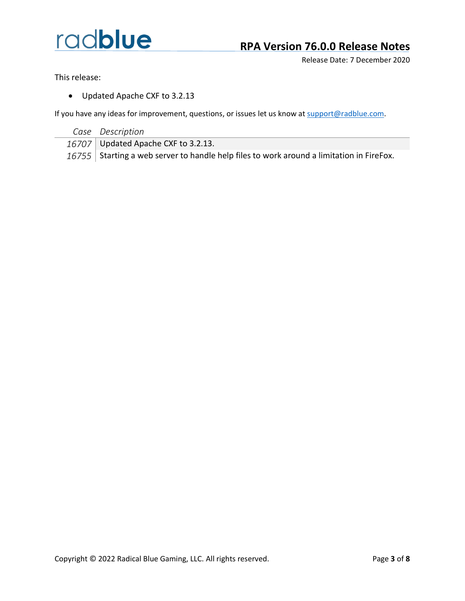

#### **RPA Version 76.0.0 Release Notes**

Release Date: 7 December 2020

This release:

• Updated Apache CXF to 3.2.13

| Case Description                                                                         |
|------------------------------------------------------------------------------------------|
| 16707 Updated Apache CXF to 3.2.13.                                                      |
| 16755 Starting a web server to handle help files to work around a limitation in FireFox. |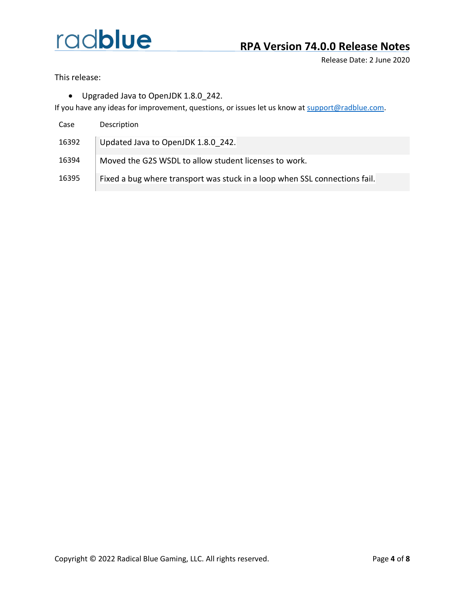#### **RPA Version 74.0.0 Release Notes**

Release Date: 2 June 2020

This release:

• Upgraded Java to OpenJDK 1.8.0\_242.

| Case  | Description                                                                |
|-------|----------------------------------------------------------------------------|
| 16392 | Updated Java to OpenJDK 1.8.0 242.                                         |
| 16394 | Moved the G2S WSDL to allow student licenses to work.                      |
| 16395 | Fixed a bug where transport was stuck in a loop when SSL connections fail. |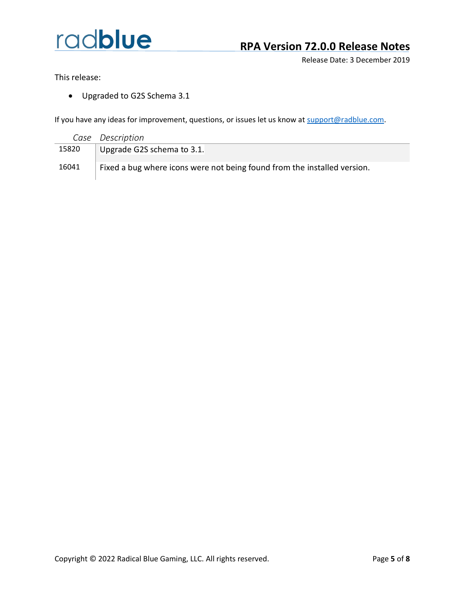#### **RPA Version 72.0.0 Release Notes**

Release Date: 3 December 2019

This release:

• Upgraded to G2S Schema 3.1

|       | Case Description                                                         |
|-------|--------------------------------------------------------------------------|
| 15820 | Upgrade G2S schema to 3.1.                                               |
| 16041 | Fixed a bug where icons were not being found from the installed version. |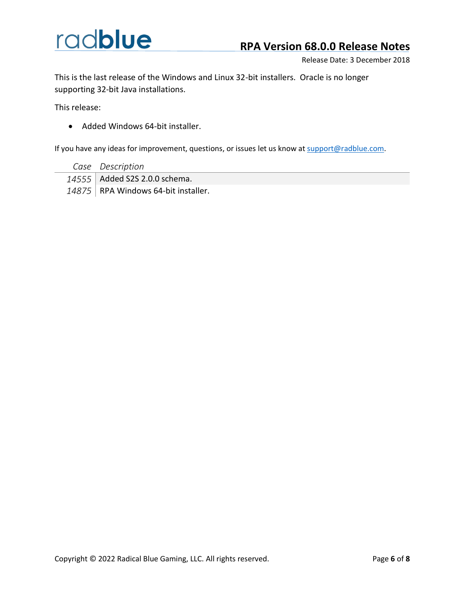#### **RPA Version 68.0.0 Release Notes**

Release Date: 3 December 2018

This is the last release of the Windows and Linux 32-bit installers. Oracle is no longer supporting 32-bit Java installations.

This release:

• Added Windows 64-bit installer.

- *Case Description*
- *14555* Added S2S 2.0.0 schema.
- 14875 RPA Windows 64-bit installer.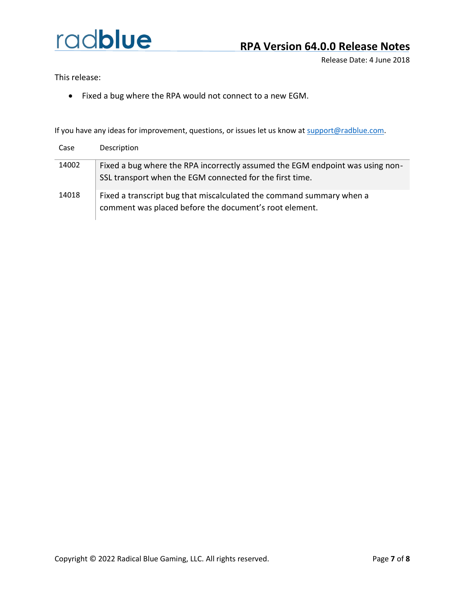Release Date: 4 June 2018

This release:

• Fixed a bug where the RPA would not connect to a new EGM.

| Case  | Description                                                                                                                               |
|-------|-------------------------------------------------------------------------------------------------------------------------------------------|
| 14002 | Fixed a bug where the RPA incorrectly assumed the EGM endpoint was using non-<br>SSL transport when the EGM connected for the first time. |
| 14018 | Fixed a transcript bug that miscalculated the command summary when a<br>comment was placed before the document's root element.            |